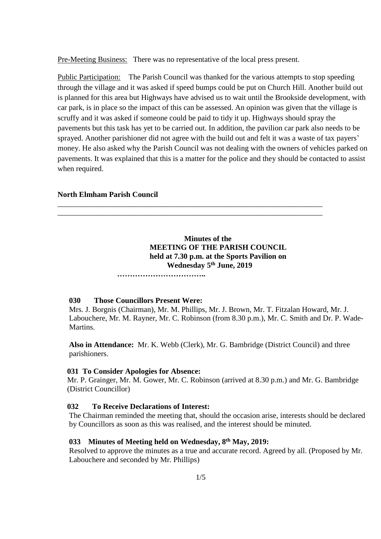Pre-Meeting Business: There was no representative of the local press present.

Public Participation: The Parish Council was thanked for the various attempts to stop speeding through the village and it was asked if speed bumps could be put on Church Hill. Another build out is planned for this area but Highways have advised us to wait until the Brookside development, with car park, is in place so the impact of this can be assessed. An opinion was given that the village is scruffy and it was asked if someone could be paid to tidy it up. Highways should spray the pavements but this task has yet to be carried out. In addition, the pavilion car park also needs to be sprayed. Another parishioner did not agree with the build out and felt it was a waste of tax payers' money. He also asked why the Parish Council was not dealing with the owners of vehicles parked on pavements. It was explained that this is a matter for the police and they should be contacted to assist when required.

### **North Elmham Parish Council**

## **Minutes of the MEETING OF THE PARISH COUNCIL held at 7.30 p.m. at the Sports Pavilion on Wednesday 5 th June, 2019**

\_\_\_\_\_\_\_\_\_\_\_\_\_\_\_\_\_\_\_\_\_\_\_\_\_\_\_\_\_\_\_\_\_\_\_\_\_\_\_\_\_\_\_\_\_\_\_\_\_\_\_\_\_\_\_\_\_\_\_\_\_\_\_\_\_\_\_\_\_ \_\_\_\_\_\_\_\_\_\_\_\_\_\_\_\_\_\_\_\_\_\_\_\_\_\_\_\_\_\_\_\_\_\_\_\_\_\_\_\_\_\_\_\_\_\_\_\_\_\_\_\_\_\_\_\_\_\_\_\_\_\_\_\_\_\_\_\_\_

 **……………………………..**

#### **030 Those Councillors Present Were:**

Mrs. J. Borgnis (Chairman), Mr. M. Phillips, Mr. J. Brown, Mr. T. Fitzalan Howard, Mr. J. Labouchere, Mr. M. Rayner, Mr. C. Robinson (from 8.30 p.m.), Mr. C. Smith and Dr. P. Wade-Martins.

**Also in Attendance:** Mr. K. Webb (Clerk), Mr. G. Bambridge (District Council) and three parishioners.

#### **031 To Consider Apologies for Absence:**

 Mr. P. Grainger, Mr. M. Gower, Mr. C. Robinson (arrived at 8.30 p.m.) and Mr. G. Bambridge (District Councillor)

#### **032 To Receive Declarations of Interest:**

The Chairman reminded the meeting that, should the occasion arise, interests should be declared by Councillors as soon as this was realised, and the interest should be minuted.

### **033 Minutes of Meeting held on Wednesday, 8 th May, 2019:**

Resolved to approve the minutes as a true and accurate record. Agreed by all. (Proposed by Mr. Labouchere and seconded by Mr. Phillips)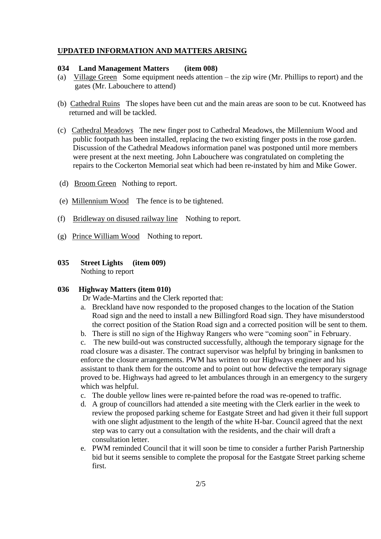#### **UPDATED INFORMATION AND MATTERS ARISING**

### **034 Land Management Matters (item 008)**

- (a) Village Green Some equipment needs attention the zip wire (Mr. Phillips to report) and the gates (Mr. Labouchere to attend)
- (b) Cathedral Ruins The slopes have been cut and the main areas are soon to be cut. Knotweed has returned and will be tackled.
- (c) Cathedral Meadows The new finger post to Cathedral Meadows, the Millennium Wood and public footpath has been installed, replacing the two existing finger posts in the rose garden. Discussion of the Cathedral Meadows information panel was postponed until more members were present at the next meeting. John Labouchere was congratulated on completing the repairs to the Cockerton Memorial seat which had been re-instated by him and Mike Gower.
- (d) Broom Green Nothing to report.
- (e) Millennium Wood The fence is to be tightened.
- (f) Bridleway on disused railway line Nothing to report.
- (g) Prince William Wood Nothing to report.
- **035 Street Lights (item 009)** Nothing to report

#### **036 Highway Matters (item 010)**

Dr Wade-Martins and the Clerk reported that:

- a. Breckland have now responded to the proposed changes to the location of the Station Road sign and the need to install a new Billingford Road sign. They have misunderstood the correct position of the Station Road sign and a corrected position will be sent to them.
- b. There is still no sign of the Highway Rangers who were "coming soon" in February.

c. The new build-out was constructed successfully, although the temporary signage for the road closure was a disaster. The contract supervisor was helpful by bringing in banksmen to enforce the closure arrangements. PWM has written to our Highways engineer and his assistant to thank them for the outcome and to point out how defective the temporary signage proved to be. Highways had agreed to let ambulances through in an emergency to the surgery which was helpful.

- c. The double yellow lines were re-painted before the road was re-opened to traffic.
- d. A group of councillors had attended a site meeting with the Clerk earlier in the week to review the proposed parking scheme for Eastgate Street and had given it their full support with one slight adjustment to the length of the white H-bar. Council agreed that the next step was to carry out a consultation with the residents, and the chair will draft a consultation letter.
- e. PWM reminded Council that it will soon be time to consider a further Parish Partnership bid but it seems sensible to complete the proposal for the Eastgate Street parking scheme first.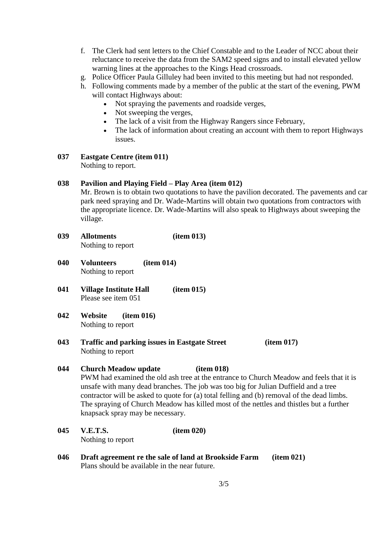- f. The Clerk had sent letters to the Chief Constable and to the Leader of NCC about their reluctance to receive the data from the SAM2 speed signs and to install elevated yellow warning lines at the approaches to the Kings Head crossroads.
- g. Police Officer Paula Gilluley had been invited to this meeting but had not responded.
- h. Following comments made by a member of the public at the start of the evening, PWM will contact Highways about:
	- Not spraying the pavements and roadside verges,
	- Not sweeping the verges,
	- The lack of a visit from the Highway Rangers since February,
	- The lack of information about creating an account with them to report Highways issues.
- **037 Eastgate Centre (item 011)** Nothing to report.

### **038 Pavilion and Playing Field – Play Area (item 012)**

Mr. Brown is to obtain two quotations to have the pavilion decorated. The pavements and car park need spraying and Dr. Wade-Martins will obtain two quotations from contractors with the appropriate licence. Dr. Wade-Martins will also speak to Highways about sweeping the village.

- **039 Allotments (item 013)** Nothing to report
- **040 Volunteers (item 014)** Nothing to report
- **041 Village Institute Hall (item 015)** Please see item 051
- **042 Website (item 016)** Nothing to report
- **043 Traffic and parking issues in Eastgate Street (item 017)** Nothing to report
- **044 Church Meadow update (item 018)** PWM had examined the old ash tree at the entrance to Church Meadow and feels that it is unsafe with many dead branches. The job was too big for Julian Duffield and a tree contractor will be asked to quote for (a) total felling and (b) removal of the dead limbs. The spraying of Church Meadow has killed most of the nettles and thistles but a further knapsack spray may be necessary.
- **045 V.E.T.S. (item 020)** Nothing to report
- **046 Draft agreement re the sale of land at Brookside Farm (item 021)** Plans should be available in the near future.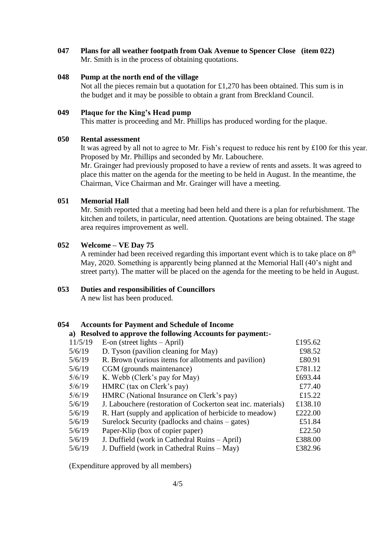**047 Plans for all weather footpath from Oak Avenue to Spencer Close (item 022)** Mr. Smith is in the process of obtaining quotations.

### **048 Pump at the north end of the village**

Not all the pieces remain but a quotation for £1,270 has been obtained. This sum is in the budget and it may be possible to obtain a grant from Breckland Council.

### **049 Plaque for the King's Head pump**

This matter is proceeding and Mr. Phillips has produced wording for the plaque.

### **050 Rental assessment**

It was agreed by all not to agree to Mr. Fish's request to reduce his rent by £100 for this year. Proposed by Mr. Phillips and seconded by Mr. Labouchere.

Mr. Grainger had previously proposed to have a review of rents and assets. It was agreed to place this matter on the agenda for the meeting to be held in August. In the meantime, the Chairman, Vice Chairman and Mr. Grainger will have a meeting.

## **051 Memorial Hall**

Mr. Smith reported that a meeting had been held and there is a plan for refurbishment. The kitchen and toilets, in particular, need attention. Quotations are being obtained. The stage area requires improvement as well.

### **052 Welcome – VE Day 75**

A reminder had been received regarding this important event which is to take place on  $8<sup>th</sup>$ May, 2020. Something is apparently being planned at the Memorial Hall (40's night and street party). The matter will be placed on the agenda for the meeting to be held in August.

#### **053 Duties and responsibilities of Councillors**

A new list has been produced.

#### **054 Accounts for Payment and Schedule of Income**

## **a) Resolved to approve the following Accounts for payment:-**

| 11/5/19 | E-on (street lights $-$ April)                               | £195.62 |
|---------|--------------------------------------------------------------|---------|
| 5/6/19  | D. Tyson (pavilion cleaning for May)                         | £98.52  |
| 5/6/19  | R. Brown (various items for allotments and pavilion)         | £80.91  |
| 5/6/19  | CGM (grounds maintenance)                                    | £781.12 |
| 5/6/19  | K. Webb (Clerk's pay for May)                                | £693.44 |
| 5/6/19  | HMRC (tax on Clerk's pay)                                    | £77.40  |
| 5/6/19  | HMRC (National Insurance on Clerk's pay)                     | £15.22  |
| 5/6/19  | J. Labouchere (restoration of Cockerton seat inc. materials) | £138.10 |
| 5/6/19  | R. Hart (supply and application of herbicide to meadow)      | £222.00 |
| 5/6/19  | Surelock Security (padlocks and chains – gates)              | £51.84  |
| 5/6/19  | Paper-Klip (box of copier paper)                             | £22.50  |
| 5/6/19  | J. Duffield (work in Cathedral Ruins – April)                | £388.00 |
| 5/6/19  | J. Duffield (work in Cathedral Ruins – May)                  | £382.96 |
|         |                                                              |         |

(Expenditure approved by all members)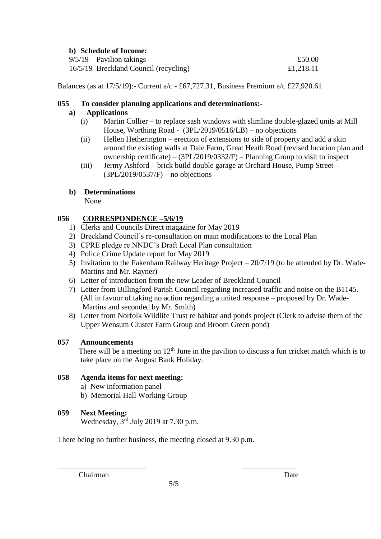## **b) Schedule of Income:**

| o, ocneane of meonie: |                                       |           |  |
|-----------------------|---------------------------------------|-----------|--|
|                       | 9/5/19 Pavilion takings               | £50.00    |  |
|                       | 16/5/19 Breckland Council (recycling) | £1,218.11 |  |

Balances (as at 17/5/19):- Current a/c - £67,727.31, Business Premium a/c £27,920.61

## **055 To consider planning applications and determinations:-**

# **a) Applications**

- (i) Martin Collier to replace sash windows with slimline double-glazed units at Mill House, Worthing Road - (3PL/2019/0516/LB) – no objections
- (ii) Hellen Hetherington erection of extensions to side of property and add a skin around the existing walls at Dale Farm, Great Heath Road (revised location plan and ownership certificate) – (3PL/2019/0332/F) – Planning Group to visit to inspect
- (iii) Jermy Ashford brick build double garage at Orchard House, Pump Street (3PL/2019/0537/F) – no objections

# **b) Determinations**

None

# **056 CORRESPONDENCE –5/6/19**

- 1) Clerks and Councils Direct magazine for May 2019
- 2) Breckland Council's re-consultation on main modifications to the Local Plan
- 3) CPRE pledge re NNDC's Draft Local Plan consultation
- 4) Police Crime Update report for May 2019
- 5) Invitation to the Fakenham Railway Heritage Project 20/7/19 (to be attended by Dr. Wade-Martins and Mr. Rayner)
- 6) Letter of introduction from the new Leader of Breckland Council
- 7) Letter from Billingford Parish Council regarding increased traffic and noise on the B1145. (All in favour of taking no action regarding a united response – proposed by Dr. Wade-Martins and seconded by Mr. Smith)
- 8) Letter from Norfolk Wildlife Trust re habitat and ponds project (Clerk to advise them of the Upper Wensum Cluster Farm Group and Broom Green pond)

# **057 Announcements**

There will be a meeting on  $12<sup>th</sup>$  June in the pavilion to discuss a fun cricket match which is to take place on the August Bank Holiday.

# **058 Agenda items for next meeting:**

- a) New information panel
- b) Memorial Hall Working Group

# **059 Next Meeting:**

Wednesday,  $3<sup>rd</sup>$  July 2019 at 7.30 p.m.

There being no further business, the meeting closed at 9.30 p.m.

Chairman Date

\_\_\_\_\_\_\_\_\_\_\_\_\_\_\_\_\_\_\_\_\_\_\_ \_\_\_\_\_\_\_\_\_\_\_\_\_\_